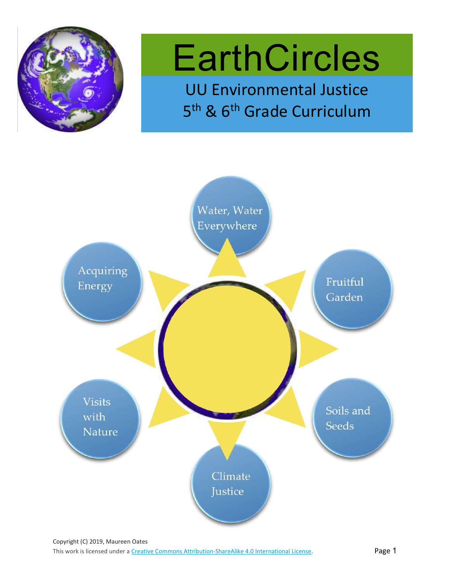

# **EarthCircles**

UU Environmental Justice 5<sup>th</sup> & 6<sup>th</sup> Grade Curriculum

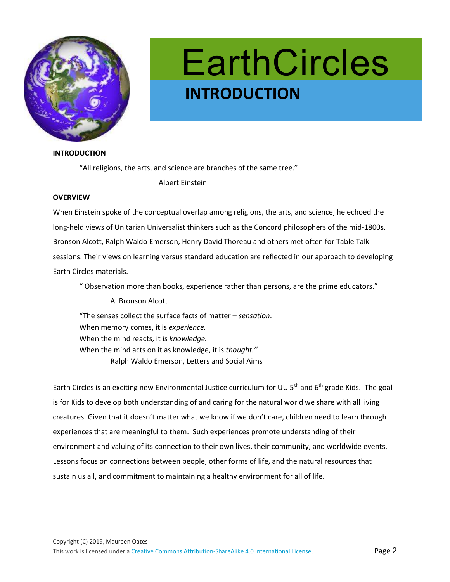

## **EarthCircles** e INTRODUCTION

#### INTRODUCTION

"All religions, the arts, and science are branches of the same tree."

Albert Einstein

#### **OVERVIEW**

When Einstein spoke of the conceptual overlap among religions, the arts, and science, he echoed the long-held views of Unitarian Universalist thinkers such as the Concord philosophers of the mid-1800s. Bronson Alcott, Ralph Waldo Emerson, Henry David Thoreau and others met often for Table Talk sessions. Their views on learning versus standard education are reflected in our approach to developing Earth Circles materials.

" Observation more than books, experience rather than persons, are the prime educators."

 A. Bronson Alcott "The senses collect the surface facts of matter – sensation. When memory comes, it is experience. When the mind reacts, it is knowledge. When the mind acts on it as knowledge, it is thought." Ralph Waldo Emerson, Letters and Social Aims

Earth Circles is an exciting new Environmental Justice curriculum for UU 5<sup>th</sup> and 6<sup>th</sup> grade Kids. The goal is for Kids to develop both understanding of and caring for the natural world we share with all living creatures. Given that it doesn't matter what we know if we don't care, children need to learn through experiences that are meaningful to them. Such experiences promote understanding of their environment and valuing of its connection to their own lives, their community, and worldwide events. Lessons focus on connections between people, other forms of life, and the natural resources that sustain us all, and commitment to maintaining a healthy environment for all of life.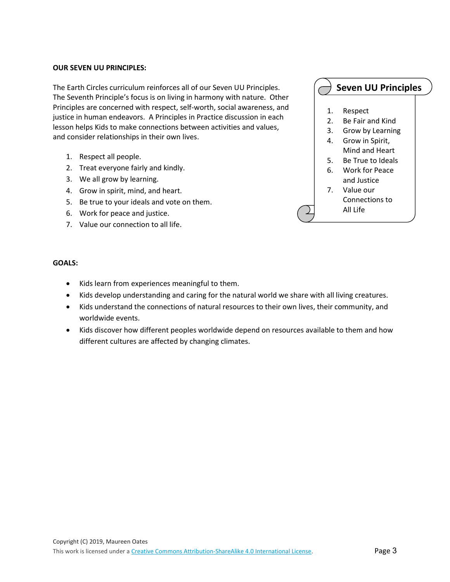#### OUR SEVEN UU PRINCIPLES:

The Earth Circles curriculum reinforces all of our Seven UU Principles. The Seventh Principle's focus is on living in harmony with nature. Other Principles are concerned with respect, self-worth, social awareness, and justice in human endeavors. A Principles in Practice discussion in each lesson helps Kids to make connections between activities and values, and consider relationships in their own lives.

- 1. Respect all people.
- 2. Treat everyone fairly and kindly.
- 3. We all grow by learning.
- 4. Grow in spirit, mind, and heart.
- 5. Be true to your ideals and vote on them.
- 6. Work for peace and justice.
- 7. Value our connection to all life.

### Seven UU Principles

- 1. Respect
- 2. Be Fair and Kind
- 3. Grow by Learning
- 4. Grow in Spirit, Mind and Heart
- 5. Be True to Ideals
- 6. Work for Peace and Justice
- 7. Value our Connections to

All Life

#### GOALS:

- Kids learn from experiences meaningful to them.
- Kids develop understanding and caring for the natural world we share with all living creatures.
- Kids understand the connections of natural resources to their own lives, their community, and worldwide events.
- Kids discover how different peoples worldwide depend on resources available to them and how different cultures are affected by changing climates.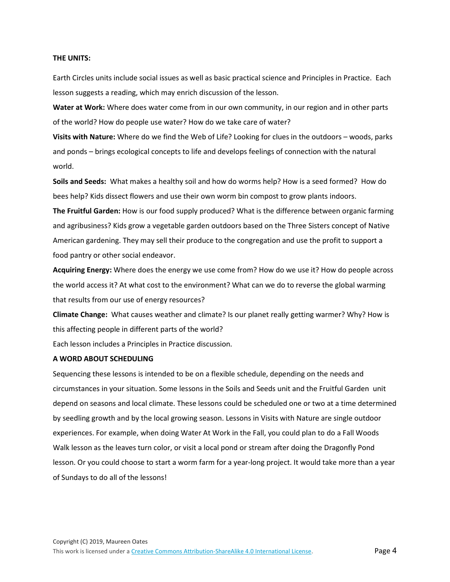#### THE UNITS:

Earth Circles units include social issues as well as basic practical science and Principles in Practice. Each lesson suggests a reading, which may enrich discussion of the lesson.

Water at Work: Where does water come from in our own community, in our region and in other parts of the world? How do people use water? How do we take care of water?

Visits with Nature: Where do we find the Web of Life? Looking for clues in the outdoors – woods, parks and ponds – brings ecological concepts to life and develops feelings of connection with the natural world.

Soils and Seeds: What makes a healthy soil and how do worms help? How is a seed formed? How do bees help? Kids dissect flowers and use their own worm bin compost to grow plants indoors.

The Fruitful Garden: How is our food supply produced? What is the difference between organic farming and agribusiness? Kids grow a vegetable garden outdoors based on the Three Sisters concept of Native American gardening. They may sell their produce to the congregation and use the profit to support a food pantry or other social endeavor.

Acquiring Energy: Where does the energy we use come from? How do we use it? How do people across the world access it? At what cost to the environment? What can we do to reverse the global warming that results from our use of energy resources?

Climate Change: What causes weather and climate? Is our planet really getting warmer? Why? How is this affecting people in different parts of the world?

Each lesson includes a Principles in Practice discussion.

#### A WORD ABOUT SCHEDULING

Sequencing these lessons is intended to be on a flexible schedule, depending on the needs and circumstances in your situation. Some lessons in the Soils and Seeds unit and the Fruitful Garden unit depend on seasons and local climate. These lessons could be scheduled one or two at a time determined by seedling growth and by the local growing season. Lessons in Visits with Nature are single outdoor experiences. For example, when doing Water At Work in the Fall, you could plan to do a Fall Woods Walk lesson as the leaves turn color, or visit a local pond or stream after doing the Dragonfly Pond lesson. Or you could choose to start a worm farm for a year-long project. It would take more than a year of Sundays to do all of the lessons!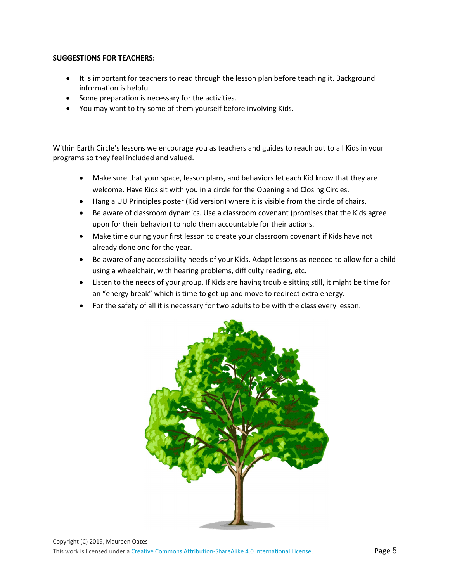#### SUGGESTIONS FOR TEACHERS:

- It is important for teachers to read through the lesson plan before teaching it. Background information is helpful.
- Some preparation is necessary for the activities.
- You may want to try some of them yourself before involving Kids.

Within Earth Circle's lessons we encourage you as teachers and guides to reach out to all Kids in your programs so they feel included and valued.

- Make sure that your space, lesson plans, and behaviors let each Kid know that they are welcome. Have Kids sit with you in a circle for the Opening and Closing Circles.
- Hang a UU Principles poster (Kid version) where it is visible from the circle of chairs.
- Be aware of classroom dynamics. Use a classroom covenant (promises that the Kids agree upon for their behavior) to hold them accountable for their actions.
- Make time during your first lesson to create your classroom covenant if Kids have not already done one for the year.
- Be aware of any accessibility needs of your Kids. Adapt lessons as needed to allow for a child using a wheelchair, with hearing problems, difficulty reading, etc.
- Listen to the needs of your group. If Kids are having trouble sitting still, it might be time for an "energy break" which is time to get up and move to redirect extra energy.
- For the safety of all it is necessary for two adults to be with the class every lesson.